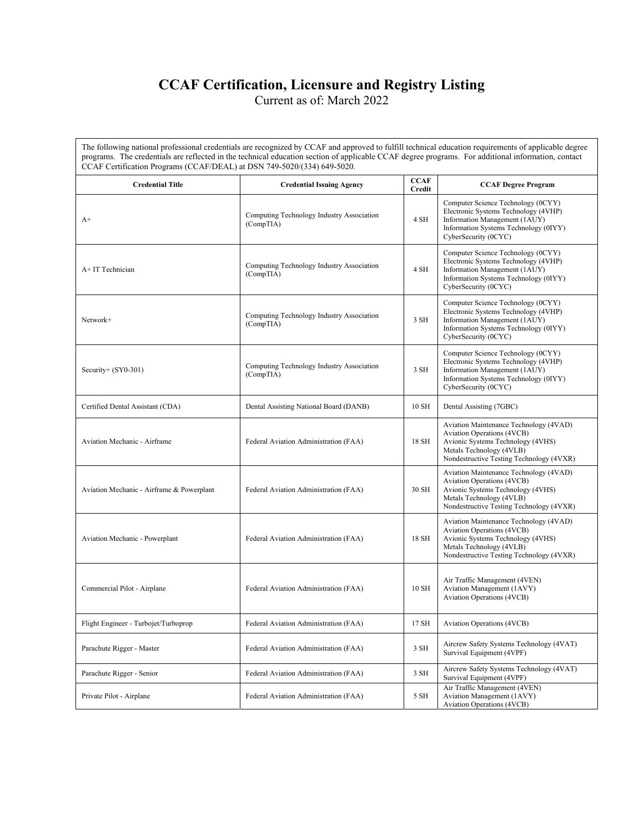## **CCAF Certification, Licensure and Registry Listing**

Current as of: March 2022

The following national professional credentials are recognized by CCAF and approved to fulfill technical education requirements of applicable degree programs. The credentials are reflected in the technical education section of applicable CCAF degree programs. For additional information, contact CCAF Certification Programs (CCAF/DEAL) at DSN 749-5020/(334) 649-5020.

| <b>Credential Title</b>                   | <b>Credential Issuing Agency</b>                       | <b>CCAF</b><br><b>Credit</b> | <b>CCAF Degree Program</b>                                                                                                                                                               |
|-------------------------------------------|--------------------------------------------------------|------------------------------|------------------------------------------------------------------------------------------------------------------------------------------------------------------------------------------|
| $A+$                                      | Computing Technology Industry Association<br>(CompTIA) | 4 SH                         | Computer Science Technology (0CYY)<br>Electronic Systems Technology (4VHP)<br>Information Management (1AUY)<br>Information Systems Technology (0IYY)<br>CyberSecurity (0CYC)             |
| A+IT Technician                           | Computing Technology Industry Association<br>(CompTIA) | 4 SH                         | Computer Science Technology (0CYY)<br>Electronic Systems Technology (4VHP)<br>Information Management (1AUY)<br>Information Systems Technology (0IYY)<br>CyberSecurity (0CYC)             |
| Network+                                  | Computing Technology Industry Association<br>(CompTIA) | 3 SH                         | Computer Science Technology (0CYY)<br>Electronic Systems Technology (4VHP)<br>Information Management (1AUY)<br>Information Systems Technology (0IYY)<br>CyberSecurity (0CYC)             |
| Security+ (SY0-301)                       | Computing Technology Industry Association<br>(CompTIA) | 3 SH                         | Computer Science Technology (0CYY)<br>Electronic Systems Technology (4VHP)<br>Information Management (1AUY)<br>Information Systems Technology (0IYY)<br>CyberSecurity (0CYC)             |
| Certified Dental Assistant (CDA)          | Dental Assisting National Board (DANB)                 | 10 SH                        | Dental Assisting (7GBC)                                                                                                                                                                  |
| Aviation Mechanic - Airframe              | Federal Aviation Administration (FAA)                  | 18 SH                        | Aviation Maintenance Technology (4VAD)<br><b>Aviation Operations (4VCB)</b><br>Avionic Systems Technology (4VHS)<br>Metals Technology (4VLB)<br>Nondestructive Testing Technology (4VXR) |
| Aviation Mechanic - Airframe & Powerplant | Federal Aviation Administration (FAA)                  | 30 SH                        | Aviation Maintenance Technology (4VAD)<br><b>Aviation Operations (4VCB)</b><br>Avionic Systems Technology (4VHS)<br>Metals Technology (4VLB)<br>Nondestructive Testing Technology (4VXR) |
| Aviation Mechanic - Powerplant            | Federal Aviation Administration (FAA)                  | 18 SH                        | Aviation Maintenance Technology (4VAD)<br><b>Aviation Operations (4VCB)</b><br>Avionic Systems Technology (4VHS)<br>Metals Technology (4VLB)<br>Nondestructive Testing Technology (4VXR) |
| Commercial Pilot - Airplane               | Federal Aviation Administration (FAA)                  | 10 SH                        | Air Traffic Management (4VEN)<br><b>Aviation Management (1AVY)</b><br><b>Aviation Operations (4VCB)</b>                                                                                  |
| Flight Engineer - Turbojet/Turboprop      | Federal Aviation Administration (FAA)                  | 17 SH                        | Aviation Operations (4VCB)                                                                                                                                                               |
| Parachute Rigger - Master                 | Federal Aviation Administration (FAA)                  | 3 SH                         | Aircrew Safety Systems Technology (4VAT)<br>Survival Equipment (4VPF)                                                                                                                    |
| Parachute Rigger - Senior                 | Federal Aviation Administration (FAA)                  | 3 SH                         | Aircrew Safety Systems Technology (4VAT)<br>Survival Equipment (4VPF)                                                                                                                    |
| Private Pilot - Airplane                  | Federal Aviation Administration (FAA)                  | 5 SH                         | Air Traffic Management (4VEN)<br>Aviation Management (1AVY)<br><b>Aviation Operations (4VCB)</b>                                                                                         |